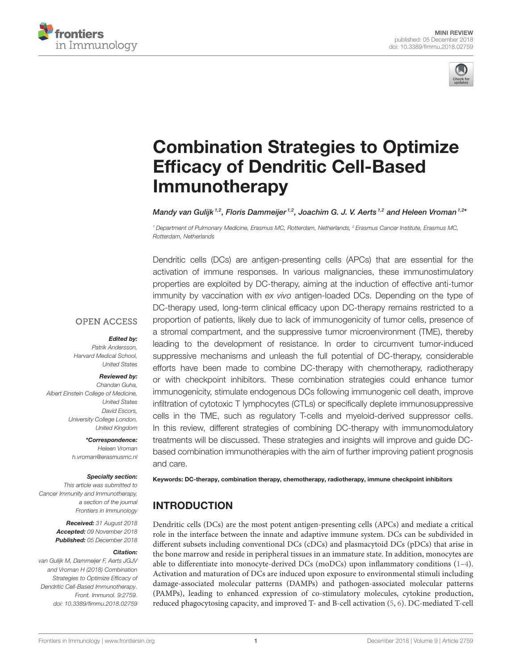



# [Combination Strategies to Optimize](https://www.frontiersin.org/articles/10.3389/fimmu.2018.02759/full) Efficacy of Dendritic Cell-Based Immunotherapy

[Mandy van Gulijk](http://loop.frontiersin.org/people/606425/overview) <sup>1,2</sup>, Floris Dammeijer <sup>1,2</sup>, Joachim G. J. V. Aerts <sup>1,2</sup> and [Heleen Vroman](http://loop.frontiersin.org/people/435632/overview) <sup>1,2x</sup>

*<sup>1</sup> Department of Pulmonary Medicine, Erasmus MC, Rotterdam, Netherlands, <sup>2</sup> Erasmus Cancer Institute, Erasmus MC, Rotterdam, Netherlands*

Dendritic cells (DCs) are antigen-presenting cells (APCs) that are essential for the activation of immune responses. In various malignancies, these immunostimulatory properties are exploited by DC-therapy, aiming at the induction of effective anti-tumor immunity by vaccination with *ex vivo* antigen-loaded DCs. Depending on the type of DC-therapy used, long-term clinical efficacy upon DC-therapy remains restricted to a proportion of patients, likely due to lack of immunogenicity of tumor cells, presence of a stromal compartment, and the suppressive tumor microenvironment (TME), thereby leading to the development of resistance. In order to circumvent tumor-induced suppressive mechanisms and unleash the full potential of DC-therapy, considerable efforts have been made to combine DC-therapy with chemotherapy, radiotherapy or with checkpoint inhibitors. These combination strategies could enhance tumor immunogenicity, stimulate endogenous DCs following immunogenic cell death, improve infiltration of cytotoxic T lymphocytes (CTLs) or specifically deplete immunosuppressive cells in the TME, such as regulatory T-cells and myeloid-derived suppressor cells. In this review, different strategies of combining DC-therapy with immunomodulatory treatments will be discussed. These strategies and insights will improve and guide DCbased combination immunotherapies with the aim of further improving patient prognosis and care.

## **OPEN ACCESS**

#### Edited by:

*Patrik Andersson, Harvard Medical School, United States*

#### Reviewed by:

*Chandan Guha, Albert Einstein College of Medicine, United States David Escors, University College London, United Kingdom*

> \*Correspondence: *Heleen Vroman [h.vroman@erasmusmc.nl](mailto:h.vroman@erasmusmc.nl)*

#### Specialty section:

*This article was submitted to Cancer Immunity and Immunotherapy, a section of the journal Frontiers in Immunology*

> Received: *31 August 2018* Accepted: *09 November 2018* Published: *05 December 2018*

#### Citation:

*van Gulijk M, Dammeijer F, Aerts JGJV and Vroman H (2018) Combination Strategies to Optimize Efficacy of Dendritic Cell-Based Immunotherapy. Front. Immunol. 9:2759. doi: [10.3389/fimmu.2018.02759](https://doi.org/10.3389/fimmu.2018.02759)*

Keywords: DC-therapy, combination therapy, chemotherapy, radiotherapy, immune checkpoint inhibitors

# INTRODUCTION

Dendritic cells (DCs) are the most potent antigen-presenting cells (APCs) and mediate a critical role in the interface between the innate and adaptive immune system. DCs can be subdivided in different subsets including conventional DCs (cDCs) and plasmacytoid DCs (pDCs) that arise in the bone marrow and reside in peripheral tissues in an immature state. In addition, monocytes are able to differentiate into monocyte-derived DCs (moDCs) upon inflammatory conditions  $(1-4)$ . Activation and maturation of DCs are induced upon exposure to environmental stimuli including damage-associated molecular patterns (DAMPs) and pathogen-associated molecular patterns (PAMPs), leading to enhanced expression of co-stimulatory molecules, cytokine production, reduced phagocytosing capacity, and improved T- and B-cell activation [\(5,](#page-9-2) [6\)](#page-9-3). DC-mediated T-cell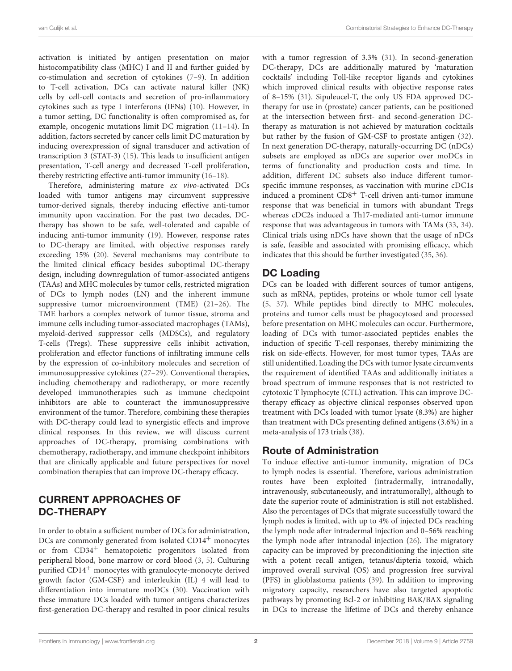activation is initiated by antigen presentation on major histocompatibility class (MHC) I and II and further guided by co-stimulation and secretion of cytokines [\(7](#page-10-0)[–9\)](#page-10-1). In addition to T-cell activation, DCs can activate natural killer (NK) cells by cell-cell contacts and secretion of pro-inflammatory cytokines such as type I interferons (IFNs) [\(10\)](#page-10-2). However, in a tumor setting, DC functionality is often compromised as, for example, oncogenic mutations limit DC migration [\(11–](#page-10-3)[14\)](#page-10-4). In addition, factors secreted by cancer cells limit DC maturation by inducing overexpression of signal transducer and activation of transcription 3 (STAT-3) [\(15\)](#page-10-5). This leads to insufficient antigen presentation, T-cell anergy and decreased T-cell proliferation, thereby restricting effective anti-tumor immunity [\(16–](#page-10-6)[18\)](#page-10-7).

Therefore, administering mature ex vivo-activated DCs loaded with tumor antigens may circumvent suppressive tumor-derived signals, thereby inducing effective anti-tumor immunity upon vaccination. For the past two decades, DCtherapy has shown to be safe, well-tolerated and capable of inducing anti-tumor immunity [\(19\)](#page-10-8). However, response rates to DC-therapy are limited, with objective responses rarely exceeding 15% [\(20\)](#page-10-9). Several mechanisms may contribute to the limited clinical efficacy besides suboptimal DC-therapy design, including downregulation of tumor-associated antigens (TAAs) and MHC molecules by tumor cells, restricted migration of DCs to lymph nodes (LN) and the inherent immune suppressive tumor microenvironment (TME) [\(21](#page-10-10)[–26\)](#page-10-11). The TME harbors a complex network of tumor tissue, stroma and immune cells including tumor-associated macrophages (TAMs), myeloid-derived suppressor cells (MDSCs), and regulatory T-cells (Tregs). These suppressive cells inhibit activation, proliferation and effector functions of infiltrating immune cells by the expression of co-inhibitory molecules and secretion of immunosuppressive cytokines [\(27–](#page-10-12)[29\)](#page-10-13). Conventional therapies, including chemotherapy and radiotherapy, or more recently developed immunotherapies such as immune checkpoint inhibitors are able to counteract the immunosuppressive environment of the tumor. Therefore, combining these therapies with DC-therapy could lead to synergistic effects and improve clinical responses. In this review, we will discuss current approaches of DC-therapy, promising combinations with chemotherapy, radiotherapy, and immune checkpoint inhibitors that are clinically applicable and future perspectives for novel combination therapies that can improve DC-therapy efficacy.

## CURRENT APPROACHES OF DC-THERAPY

In order to obtain a sufficient number of DCs for administration, DCs are commonly generated from isolated CD14<sup>+</sup> monocytes or from CD34<sup>+</sup> hematopoietic progenitors isolated from peripheral blood, bone marrow or cord blood [\(3,](#page-9-4) [5\)](#page-9-2). Culturing purified CD14<sup>+</sup> monocytes with granulocyte-monocyte derived growth factor (GM-CSF) and interleukin (IL) 4 will lead to differentiation into immature moDCs [\(30\)](#page-10-14). Vaccination with these immature DCs loaded with tumor antigens characterizes first-generation DC-therapy and resulted in poor clinical results with a tumor regression of 3.3% [\(31\)](#page-10-15). In second-generation DC-therapy, DCs are additionally matured by 'maturation cocktails' including Toll-like receptor ligands and cytokines which improved clinical results with objective response rates of 8–15% [\(31\)](#page-10-15). Sipuleucel-T, the only US FDA approved DCtherapy for use in (prostate) cancer patients, can be positioned at the intersection between first- and second-generation DCtherapy as maturation is not achieved by maturation cocktails but rather by the fusion of GM-CSF to prostate antigen [\(32\)](#page-10-16). In next generation DC-therapy, naturally-occurring DC (nDCs) subsets are employed as nDCs are superior over moDCs in terms of functionality and production costs and time. In addition, different DC subsets also induce different tumorspecific immune responses, as vaccination with murine cDC1s induced a prominent CD8<sup>+</sup> T-cell driven anti-tumor immune response that was beneficial in tumors with abundant Tregs whereas cDC2s induced a Th17-mediated anti-tumor immune response that was advantageous in tumors with TAMs [\(33,](#page-10-17) [34\)](#page-10-18). Clinical trials using nDCs have shown that the usage of nDCs is safe, feasible and associated with promising efficacy, which indicates that this should be further investigated [\(35,](#page-10-19) [36\)](#page-10-20).

# DC Loading

DCs can be loaded with different sources of tumor antigens, such as mRNA, peptides, proteins or whole tumor cell lysate [\(5,](#page-9-2) [37\)](#page-10-21). While peptides bind directly to MHC molecules, proteins and tumor cells must be phagocytosed and processed before presentation on MHC molecules can occur. Furthermore, loading of DCs with tumor-associated peptides enables the induction of specific T-cell responses, thereby minimizing the risk on side-effects. However, for most tumor types, TAAs are still unidentified. Loading the DCs with tumor lysate circumvents the requirement of identified TAAs and additionally initiates a broad spectrum of immune responses that is not restricted to cytotoxic T lymphocyte (CTL) activation. This can improve DCtherapy efficacy as objective clinical responses observed upon treatment with DCs loaded with tumor lysate (8.3%) are higher than treatment with DCs presenting defined antigens (3.6%) in a meta-analysis of 173 trials [\(38\)](#page-10-22).

# Route of Administration

To induce effective anti-tumor immunity, migration of DCs to lymph nodes is essential. Therefore, various administration routes have been exploited (intradermally, intranodally, intravenously, subcutaneously, and intratumorally), although to date the superior route of administration is still not established. Also the percentages of DCs that migrate successfully toward the lymph nodes is limited, with up to 4% of injected DCs reaching the lymph node after intradermal injection and 0–56% reaching the lymph node after intranodal injection [\(26\)](#page-10-11). The migratory capacity can be improved by preconditioning the injection site with a potent recall antigen, tetanus/dipteria toxoid, which improved overall survival (OS) and progression free survival (PFS) in glioblastoma patients [\(39\)](#page-10-23). In addition to improving migratory capacity, researchers have also targeted apoptotic pathways by promoting Bcl-2 or inhibiting BAK/BAX signaling in DCs to increase the lifetime of DCs and thereby enhance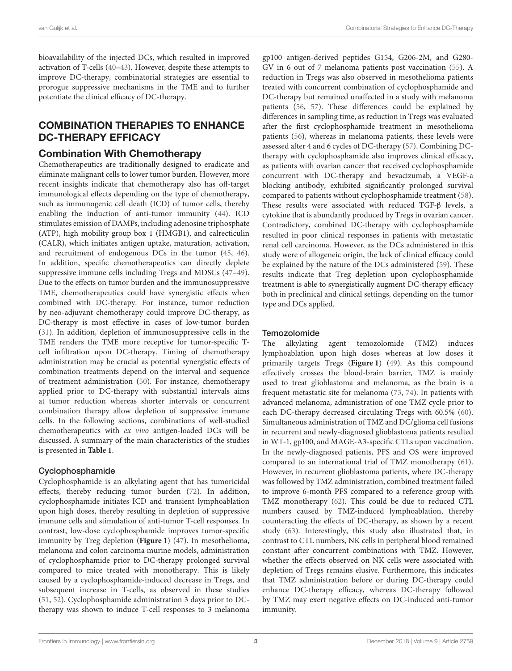bioavailability of the injected DCs, which resulted in improved activation of T-cells [\(40–](#page-10-24)[43\)](#page-10-25). However, despite these attempts to improve DC-therapy, combinatorial strategies are essential to prorogue suppressive mechanisms in the TME and to further potentiate the clinical efficacy of DC-therapy.

## COMBINATION THERAPIES TO ENHANCE DC-THERAPY EFFICACY

#### Combination With Chemotherapy

Chemotherapeutics are traditionally designed to eradicate and eliminate malignant cells to lower tumor burden. However, more recent insights indicate that chemotherapy also has off-target immunological effects depending on the type of chemotherapy, such as immunogenic cell death (ICD) of tumor cells, thereby enabling the induction of anti-tumor immunity [\(44\)](#page-10-26). ICD stimulates emission of DAMPs, including adenosine triphosphate (ATP), high mobility group box 1 (HMGB1), and calrecticulin (CALR), which initiates antigen uptake, maturation, activation, and recruitment of endogenous DCs in the tumor [\(45,](#page-10-27) [46\)](#page-11-0). In addition, specific chemotherapeutics can directly deplete suppressive immune cells including Tregs and MDSCs [\(47–](#page-11-1)[49\)](#page-11-2). Due to the effects on tumor burden and the immunosuppressive TME, chemotherapeutics could have synergistic effects when combined with DC-therapy. For instance, tumor reduction by neo-adjuvant chemotherapy could improve DC-therapy, as DC-therapy is most effective in cases of low-tumor burden [\(31\)](#page-10-15). In addition, depletion of immunosuppressive cells in the TME renders the TME more receptive for tumor-specific Tcell infiltration upon DC-therapy. Timing of chemotherapy administration may be crucial as potential synergistic effects of combination treatments depend on the interval and sequence of treatment administration [\(50\)](#page-11-3). For instance, chemotherapy applied prior to DC-therapy with substantial intervals aims at tumor reduction whereas shorter intervals or concurrent combination therapy allow depletion of suppressive immune cells. In the following sections, combinations of well-studied chemotherapeutics with ex vivo antigen-loaded DCs will be discussed. A summary of the main characteristics of the studies is presented in **[Table 1](#page-3-0)**.

#### Cyclophosphamide

Cyclophosphamide is an alkylating agent that has tumoricidal effects, thereby reducing tumor burden [\(72\)](#page-11-4). In addition, cyclophosphamide initiates ICD and transient lymphoablation upon high doses, thereby resulting in depletion of suppressive immune cells and stimulation of anti-tumor T-cell responses. In contrast, low-dose cyclophosphamide improves tumor-specific immunity by Treg depletion (**[Figure 1](#page-7-0)**) [\(47\)](#page-11-1). In mesothelioma, melanoma and colon carcinoma murine models, administration of cyclophosphamide prior to DC-therapy prolonged survival compared to mice treated with monotherapy. This is likely caused by a cyclophosphamide-induced decrease in Tregs, and subsequent increase in T-cells, as observed in these studies [\(51,](#page-11-5) [52\)](#page-11-6). Cyclophosphamide administration 3 days prior to DCtherapy was shown to induce T-cell responses to 3 melanoma

gp100 antigen-derived peptides G154, G206-2M, and G280- GV in 6 out of 7 melanoma patients post vaccination [\(55\)](#page-11-7). A reduction in Tregs was also observed in mesothelioma patients treated with concurrent combination of cyclophosphamide and DC-therapy but remained unaffected in a study with melanoma patients [\(56,](#page-11-8) [57\)](#page-11-9). These differences could be explained by differences in sampling time, as reduction in Tregs was evaluated after the first cyclophosphamide treatment in mesothelioma patients [\(56\)](#page-11-8), whereas in melanoma patients, these levels were assessed after 4 and 6 cycles of DC-therapy [\(57\)](#page-11-9). Combining DCtherapy with cyclophosphamide also improves clinical efficacy, as patients with ovarian cancer that received cyclophosphamide concurrent with DC-therapy and bevacizumab, a VEGF-a blocking antibody, exhibited significantly prolonged survival compared to patients without cyclophosphamide treatment [\(58\)](#page-11-10). These results were associated with reduced TGF-β levels, a cytokine that is abundantly produced by Tregs in ovarian cancer. Contradictory, combined DC-therapy with cyclophosphamide resulted in poor clinical responses in patients with metastatic renal cell carcinoma. However, as the DCs administered in this study were of allogeneic origin, the lack of clinical efficacy could be explained by the nature of the DCs administered [\(59\)](#page-11-11). These results indicate that Treg depletion upon cyclophosphamide treatment is able to synergistically augment DC-therapy efficacy both in preclinical and clinical settings, depending on the tumor type and DCs applied.

#### **Temozolomide**

The alkylating agent temozolomide (TMZ) induces lymphoablation upon high doses whereas at low doses it primarily targets Tregs (**[Figure 1](#page-7-0)**) [\(49\)](#page-11-2). As this compound effectively crosses the blood-brain barrier, TMZ is mainly used to treat glioblastoma and melanoma, as the brain is a frequent metastatic site for melanoma [\(73,](#page-11-12) [74\)](#page-11-13). In patients with advanced melanoma, administration of one TMZ cycle prior to each DC-therapy decreased circulating Tregs with 60.5% [\(60\)](#page-11-14). Simultaneous administration of TMZ and DC/glioma cell fusions in recurrent and newly-diagnosed glioblastoma patients resulted in WT-1, gp100, and MAGE-A3-specific CTLs upon vaccination. In the newly-diagnosed patients, PFS and OS were improved compared to an international trial of TMZ monotherapy [\(61\)](#page-11-15). However, in recurrent glioblastoma patients, where DC-therapy was followed by TMZ administration, combined treatment failed to improve 6-month PFS compared to a reference group with TMZ monotherapy [\(62\)](#page-11-16). This could be due to reduced CTL numbers caused by TMZ-induced lymphoablation, thereby counteracting the effects of DC-therapy, as shown by a recent study [\(63\)](#page-11-17). Interestingly, this study also illustrated that, in contrast to CTL numbers, NK cells in peripheral blood remained constant after concurrent combinations with TMZ. However, whether the effects observed on NK cells were associated with depletion of Tregs remains elusive. Furthermore, this indicates that TMZ administration before or during DC-therapy could enhance DC-therapy efficacy, whereas DC-therapy followed by TMZ may exert negative effects on DC-induced anti-tumor immunity.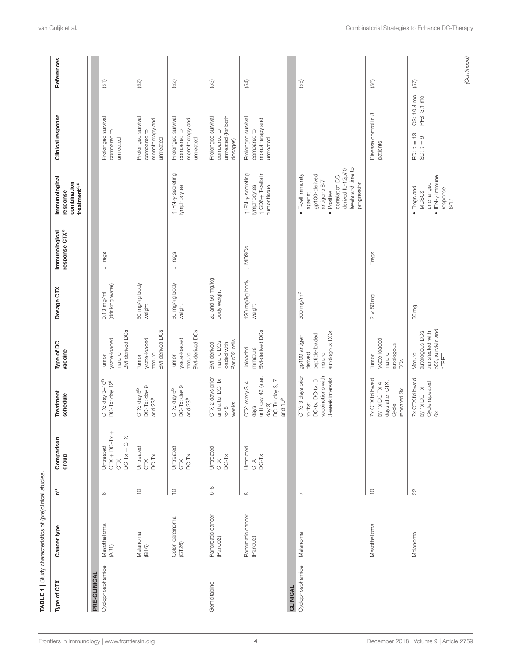| Type of CTX      | Cancer type                   | $\mathbf{e}^{\mathbf{a}}$ | Comparison<br>dronb                                                           | Treatment<br>schedule                                                                             | Type of DC<br>vaccine                                                      | Dosage CTX                     | response CTX <sup>c</sup><br>Immunological | Immunological<br>combination<br>treatment <sup>c,d</sup><br>response                                                                                                      | Clinical response                                                    | References  |
|------------------|-------------------------------|---------------------------|-------------------------------------------------------------------------------|---------------------------------------------------------------------------------------------------|----------------------------------------------------------------------------|--------------------------------|--------------------------------------------|---------------------------------------------------------------------------------------------------------------------------------------------------------------------------|----------------------------------------------------------------------|-------------|
| PRE-CLINICAL     |                               |                           |                                                                               |                                                                                                   |                                                                            |                                |                                            |                                                                                                                                                                           |                                                                      |             |
| Cyclophosphamide | Mesothelioma<br>(AB1)         | $\circ$                   | $CTX + D C-TX +$<br>$\times$<br>$DC-TX + CT$<br>Untreated<br>č                | CTX: day $3-10^b$<br>DC-Tx: day $12^b$                                                            | <b>BM-derived DCs</b><br>lysate-loaded<br>mature<br>Tumor                  | 0,13 mg/ml<br>(drinking water) | $\downarrow$ Tregs                         |                                                                                                                                                                           | Prolonged survival<br>compared to<br>untreated                       | (51)        |
|                  | Melanoma<br>(B16)             | $\mathop{=}^{\mathbb{O}}$ | Untreated<br>CTX<br>$DC-Tx$                                                   | DC-Tx: day 9<br>CTX: day 5 <sup>b</sup><br>and 23 <sup>b</sup>                                    | <b>BM-derived DCs</b><br>lysate-loaded<br>mature<br>Tumor                  | 50 mg/kg body<br>weight        |                                            |                                                                                                                                                                           | Prolonged survival<br>monotherapy and<br>compared to<br>untreated    | (52)        |
|                  | Colon carcinoma<br>(CT26)     | $\frac{1}{2}$             | Untreated<br>CTX<br>$DC-TX$                                                   | DC-Tx: day 9<br>CTX: day 5 <sup>b</sup><br>and 23 <sup>b</sup>                                    | BM-derived DCs<br>lysate-loaded<br>mature<br>Tumor                         | 50 mg/kg body<br>weight        | $\downarrow$ Tregs                         | 1 IFN-y secreting<br>lymphocytes                                                                                                                                          | Prolonged survival<br>monotherapy and<br>compared to<br>untreated    | $(52)$      |
| Gemcitabine      | Pancreatic cancer<br>(Panc02) | $6-8$                     | Untreated                                                                     | CTX 2 days prior<br>and after DC-Tx<br>weeks<br>for $5$                                           | PancO <sub>2</sub> cells<br>mature DCs<br>loaded with<br>BM-derived        | 25 and 50 mg/kg<br>body weight |                                            |                                                                                                                                                                           | untreated (for both<br>Prolonged survival<br>compared to<br>dosages) | $(53)$      |
|                  | Pancreatic cancer<br>(Panc02) | $\infty$                  | Untreated<br>$\begin{array}{c} \simeq \\ \simeq \\ \simeq \infty \end{array}$ | until day 42 (start<br>DC-Tx: day 3, 7<br>CTX: every 3-4<br>and 10 <sup>b</sup><br>day 3)<br>days | <b>BM-derived DCs</b><br>Unloaded<br>immature                              | 120 mg/kg body<br>weight       | $\downarrow$ MDSCs                         | 1 CD8+T-cells in<br>1 IFN-y secreting<br>lymphocytes<br>tumor tissue                                                                                                      | Prolonged survival<br>monotherapy and<br>compared to<br>untreated    | (54)        |
| <b>CLINICAL</b>  |                               |                           |                                                                               |                                                                                                   |                                                                            |                                |                                            |                                                                                                                                                                           |                                                                      |             |
| Cyclophosphamide | Melanoma                      | $\sim$                    |                                                                               | CTX: 3 days prior<br>vaccinations with<br>3-week intervals<br>DC-tx, DC-tx: 6<br>to first         | autologous DCs<br>peptide-loaded<br>gp100 antigen<br>derived<br>mature     | 300 mg/m $^2$                  |                                            | levels and time to<br>derived IL-12p70<br>$\bullet$ T-cell immunity<br>gp100-derived<br>correlation DC<br>antigens 6/7<br>progression<br>Positive<br>against<br>$\bullet$ |                                                                      | (55)        |
|                  | Mesothelioma                  | $\frac{1}{2}$             |                                                                               | 7x CTX followed<br>days after CTX.<br>by 1x DC-Tx 4<br>repeated 3x<br>Cycle                       | lysate-loaded<br>autologous<br>mature<br>Turnor<br><b>DCS</b>              | $2 \times 50 \, \text{mg}$     | $\downarrow$ Tregs                         |                                                                                                                                                                           | Disease control in 8<br>patients                                     | $(56)$      |
|                  | Melanoma                      | 22                        |                                                                               | 7x CTX followed<br>Cycle repeated<br>by 1x DC-Tx.<br>$\delta$                                     | p53, survivin and<br>autologous DCs<br>transfected with<br>Mature<br>hTERT | 50mg                           |                                            | $\bullet$ IFN- $\gamma$ Immune<br>unchanged<br>• Tregs and<br>response<br><b>MDSCs</b><br>$6/17$                                                                          | OS: 10.4 mo<br>PFS: 3.1 mo<br>PD: $n = 13$<br>SD: $n = 9$            | (57)        |
|                  |                               |                           |                                                                               |                                                                                                   |                                                                            |                                |                                            |                                                                                                                                                                           |                                                                      | (Continued) |

<span id="page-3-0"></span>TABLE 1 | Study characteristics of (pre)clinical studies.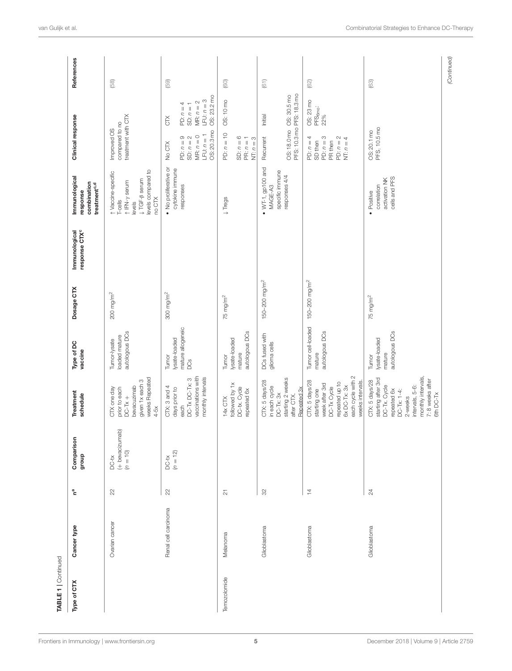| Type of CTX  | Cancer type          | $\mathbf{h}^{\mathbf{a}}$   | Comparison<br>group                     | Treatment<br>schedule                                                                                                                                                   | Type of DC<br>vaccine                                           | Dosage CTX                | response CTX <sup>c</sup><br>Immunological | Immunological<br>combination<br>treatment <sup>c,d</sup><br>response                                        | Clinical response                                                                  |                                                                               | References     |
|--------------|----------------------|-----------------------------|-----------------------------------------|-------------------------------------------------------------------------------------------------------------------------------------------------------------------------|-----------------------------------------------------------------|---------------------------|--------------------------------------------|-------------------------------------------------------------------------------------------------------------|------------------------------------------------------------------------------------|-------------------------------------------------------------------------------|----------------|
|              | Ovarian cancer       | 22                          | (+ bevacizumab)<br>$(n = 10)$<br>$DC-X$ | weeks Repeated<br>given 1x each 3<br>bevacuzimab<br>CTX one day<br>prior to each<br>$DC-TX +$<br>$4-5x$                                                                 | autologous DCs<br>loaded mature<br>Tumor-lysate                 | $200$ mg/m <sup>2</sup>   |                                            | levels compared to<br>1 Vaccine-specific<br>↓TGF-β serum<br>1 IFN-y serum<br>no CTX<br>$T$ -cells<br>levels | treatment with CTX<br>compared to no<br>Improved OS                                |                                                                               | (58)           |
|              | Renal cell carcinoma | $22$                        | $(n = 12)$<br>$DC-X$                    | vaccinations with<br>monthly intervals<br>DC-Tx DC-Tx: 3<br>CTX: 3 and 4<br>days prior to<br>each                                                                       | mature allogeneic<br>lysate-loaded<br>Turnor<br>DC <sub>S</sub> | $300$ mg/m <sup>2</sup>   |                                            | · No proliferative or<br>cytokine immune<br>responses                                                       | OS: 20.3 mo<br>$LPU: n = 1$<br>$MR: n = 0$<br>PD: $n = 9$<br>SD: $n = 2$<br>No CTX | OS: 23.2 mo<br>$LPU: n = 3$<br>MR: $n = 2$<br>PD: $n = 4$<br>SD: $n = 1$<br>č | (59)           |
| Temozolomide | Melanoma             | $\overline{\mathbf{c}}$     |                                         | followed by 1x<br>DC-tx. Cycle<br>repeated 6x<br>14x CTX                                                                                                                | autologous DCs<br>lysate-loaded<br>mature<br>Tumor              | $75$ mg/m <sup>2</sup>    |                                            | $\downarrow$ Tregs                                                                                          | PD: $n = 10$<br>SD: $n = 6$<br>PR: $n = 1$<br>$NT: n = 3$                          | OS: 10 mo                                                                     | $\circledcirc$ |
|              | Glioblastoma         | $\mathcal{S}^{\mathcal{S}}$ |                                         | starting 2 weeks<br>CTX: 5 days/28<br>in each cycle<br>Repeated 3x<br>$DC-Tx: 3x$<br>after CTX.                                                                         | DCs fused with<br>glioma cells                                  | 150-200 mg/m <sup>2</sup> |                                            | $\bullet$ WT-1, gp100 and<br>specific immune<br>responses 4/4<br>MAGE-A3                                    | PFS: 10.3 mo PFS: 18.3 mo<br>OS: 18.0 mo OS: 30.5 mo<br>Recurrent                  | Initial                                                                       | (61)           |
|              | Glioblastoma         | $\overline{4}$              |                                         | each cycle with 2<br>weeks intervals.<br>CTX: 5 days/28<br>repeated up to<br>week after 3rd<br>6x DC-Tx: 3x<br>DC-Tx Cycle<br>starting one                              | Tumor cell-loaded<br>autologous DCs<br>mature                   | 150-200 mg/m <sup>2</sup> |                                            |                                                                                                             | PD: $n = 3$<br>PD: $n = 2$<br>PD: $n = 4$<br>NT: $n = 4$<br>SD then<br>PR then     | OS: 23 mo<br>$PFS6mo$ :<br>22%                                                | (62)           |
|              | Glioblastoma         | $^{24}$                     |                                         | monthly intervals,<br>starting after 3rd<br>7: 8 weeks after<br>CTX: 5 days/28<br>DC-Tx. Cycle<br>intervals, 5-6:<br>repeated 6x<br>DC-Tx: 1-4:<br>6th DC-Tx<br>2-weeks | autologous DCs<br>lysate-loaded<br>mature<br>Tumor              | $75$ mg/m <sup>2</sup>    |                                            | cells and PFS<br>activation NK<br>correlation<br>· Positive                                                 | PFS; 10.5mo<br>OS: 20.1 mo                                                         |                                                                               | $(63)$         |
|              |                      |                             |                                         |                                                                                                                                                                         |                                                                 |                           |                                            |                                                                                                             |                                                                                    |                                                                               | (Continued)    |

[Frontiers in Immunology](https://www.frontiersin.org/journals/immunology)| [www.frontiersin.org](https://www.frontiersin.org) **5** 5 [December 2018 | Volume 9 | Article 2759](https://www.frontiersin.org/journals/immunology#articles)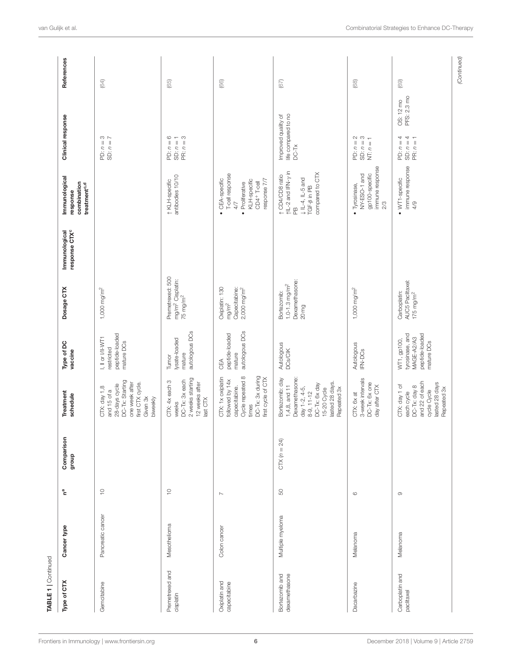| TABLE 1   Continued             |                   |                          |                     |                                                                                                                                                            |                                                                              |                                                                                 |                                            |                                                                                                                                 |                                                                       |             |
|---------------------------------|-------------------|--------------------------|---------------------|------------------------------------------------------------------------------------------------------------------------------------------------------------|------------------------------------------------------------------------------|---------------------------------------------------------------------------------|--------------------------------------------|---------------------------------------------------------------------------------------------------------------------------------|-----------------------------------------------------------------------|-------------|
| Type of CTX                     | Cancer type       | ငိ                       | Comparison<br>group | Treatment<br>schedule                                                                                                                                      | Type of DC<br>vaccine                                                        | Dosage CTX                                                                      | response CTX <sup>c</sup><br>Immunological | Immunological<br>combination<br>treatment <sup>c,d</sup><br>response                                                            | Clinical response                                                     | References  |
| Gemcitabine                     | Pancreatic cancer | $\frac{0}{1}$            |                     | DC-Tx: Starting<br>one week after<br>first CTX cycle.<br>28-days cycle<br>CTX: day 1,8<br>and 15 of a<br>Given 3x<br>biweekly                              | peptide-loaded<br>I, II or I/II-WT1<br>mature DCs<br>restricted              | 1,000 mg/m <sup>2</sup>                                                         |                                            |                                                                                                                                 | PD: $n = 3$<br>SD: $n = 7$                                            | (64)        |
| Premetrexed and<br>cisplatin    | Mesothelioma      | $\supseteq$              |                     | 2 weeks starting<br>CTX: 4x each 3<br>DC-Tx: 3x each<br>12 weeks after<br>last CTX<br>weeks                                                                | autologous DCs<br>lysate-loaded<br>mature<br>Tumor                           | Premetrexed: 500<br>mg/m <sup>2</sup> Cisplatin:<br>$75$ mg/m <sup>2</sup>      |                                            | antibodies 10/10<br>1 KLH-specific                                                                                              | PD: $n = 6$<br>SD: $n = 1$<br>PR: $n = 3$                             | (65)        |
| Oxiplatin and<br>capecitabine   | Colon cancer      | $\overline{\phantom{a}}$ |                     | Cycle repeated 8<br>DC-Tx: 3x during<br>CTX: 1x oxiplatin<br>first cycle of CTX<br>followed by 14x<br>capecitabine.<br>times                               | autologous DCs<br>peptide-loaded<br>mature<br>CEA                            | Oxiplatin: 130<br>Capecitabine:<br>2,000 mg/m <sup>2</sup><br>mg/m <sup>2</sup> |                                            | T-cell response<br>CEA-specific<br>KLH-specific<br>response 7/7<br>Proliferative<br>CD4+T-cell<br>4/7<br>$\bullet$<br>$\bullet$ |                                                                       | (66)        |
| Bortezomib and<br>dexamethasone | Multiple myeloma  | 50                       | $CIX (n = 24)$      | Dexamethasone:<br>Bortezomib: day<br>lasted 28 days.<br>DC-Tx: 6x day<br>$1,4,8$ , and $11$<br>day 1-2, 4-5,<br>Repeated 3x<br>15-20 Cycle<br>$8-9, 11-12$ | Autologous<br><b>DCs/CIK</b>                                                 | Dexamethasone:<br>$1.0 - 1.3$ mg/m <sup>2</sup><br>Bortezomib:<br>20mg          |                                            | 1L-2 and IFN-y in<br>compared to CTX<br>↑ CD4/CD8 ratio<br>$\downarrow$ IL-4, IL-5 and<br>TGF- $\beta$ in PB<br>$\mathbb{R}$    | life compared to no<br>Improved quality of<br>$DC-TX$                 | (67)        |
| Dacarbazine                     | Melanoma          | $\circ$                  |                     | 3-week intervals<br>DC-Tx: 6x one<br>day after CTX<br>CTX: 6x at                                                                                           | Autologous<br>IFN-DCs                                                        | 1,000 mg/m $^2$                                                                 |                                            | immune response<br>gp100-specific<br>NY-ESO-1 and<br>Tyrosinase,<br>2/3<br>$\bullet$                                            | PD: $n = 2$<br>SD: $n = 3$<br>NT: $n = 1$                             | $^{(68)}$   |
| Carboplatin and<br>paclitaxel   | Melanoma          | $\circ$                  |                     | DC-Tx: day 8<br>and 22 of each<br>lasted 28 days<br>CTX: day 1 of<br>Repeated 3x<br>cycle Cycle<br>each cycle                                              | tyrosinase, and<br>peptide-loaded<br>MAGE-A2/A3<br>WT1, gp100,<br>mature DCs | AUC5 Paclitaxel:<br>Carboplatin:<br>$175$ mg/m <sup>2</sup>                     |                                            | immune response<br>$\bullet$ WT1-specific<br>4/9                                                                                | PFS: 2.3 mo<br>OS: 12 mo<br>PD: $n = 4$<br>SD: $n = 4$<br>PR: $n = 1$ | (69)        |
|                                 |                   |                          |                     |                                                                                                                                                            |                                                                              |                                                                                 |                                            |                                                                                                                                 |                                                                       | (Continued) |

[Frontiers in Immunology](https://www.frontiersin.org/journals/immunology)| [www.frontiersin.org](https://www.frontiersin.org) **6 6 1.1 6 [December 2018 | Volume 9 | Article 2759](https://www.frontiersin.org/journals/immunology#articles)**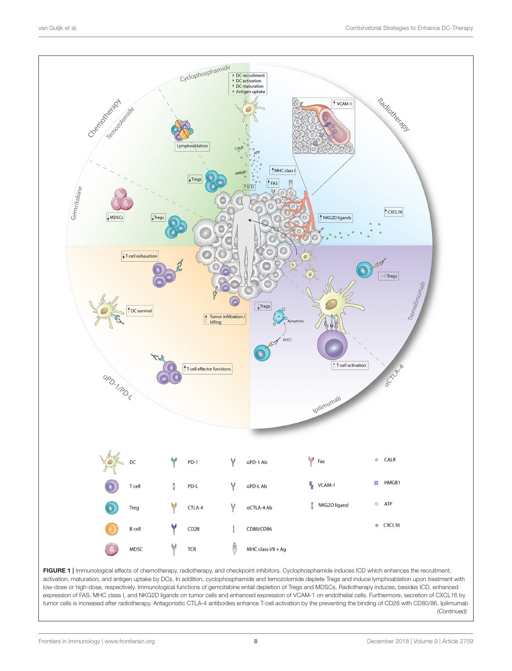

<span id="page-7-0"></span>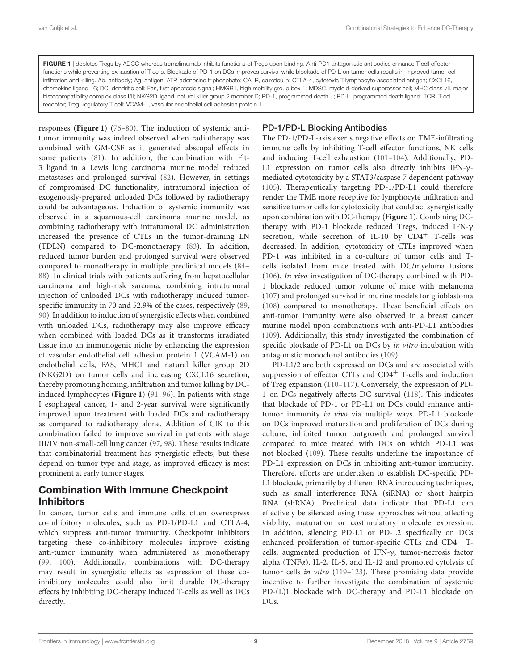FIGURE 1 | depletes Tregs by ADCC whereas tremelimumab inhibits functions of Tregs upon binding. Anti-PD1 antagonistic antibodies enhance T-cell effector functions while preventing exhaustion of T-cells. Blockade of PD-1 on DCs improves survival while blockade of PD-L on tumor cells results in improved tumor-cell infiltration and killing. Ab, antibody; Ag, antigen; ATP, adenosine triphosphate; CALR, calreticulin; CTLA-4, cytotoxic T-lymphocyte-associated antigen; CXCL16, chemokine ligand 16; DC, dendritic cell; Fas, first apoptosis signal; HMGB1, high mobility group box 1; MDSC, myeloid-derived suppressor cell; MHC class I/II, major histocompatibility complex class I/II; NKG2D ligand, natural killer group 2 member D; PD-1, programmed death 1; PD-L, programmed death ligand; TCR, T-cell receptor; Treg, regulatory T cell; VCAM-1, vascular endothelial cell adhesion protein 1.

responses (**[Figure 1](#page-7-0)**) [\(76–](#page-11-26)[80\)](#page-11-27). The induction of systemic antitumor immunity was indeed observed when radiotherapy was combined with GM-CSF as it generated abscopal effects in some patients [\(81\)](#page-12-0). In addition, the combination with Flt-3 ligand in a Lewis lung carcinoma murine model reduced metastases and prolonged survival [\(82\)](#page-12-1). However, in settings of compromised DC functionality, intratumoral injection of exogenously-prepared unloaded DCs followed by radiotherapy could be advantageous. Induction of systemic immunity was observed in a squamous-cell carcinoma murine model, as combining radiotherapy with intratumoral DC administration increased the presence of CTLs in the tumor-draining LN (TDLN) compared to DC-monotherapy [\(83\)](#page-12-2). In addition, reduced tumor burden and prolonged survival were observed compared to monotherapy in multiple preclinical models [\(84–](#page-12-3) [88\)](#page-12-4). In clinical trials with patients suffering from hepatocellular carcinoma and high-risk sarcoma, combining intratumoral injection of unloaded DCs with radiotherapy induced tumorspecific immunity in 70 and 52.9% of the cases, respectively [\(89,](#page-12-5) [90\)](#page-12-6). In addition to induction of synergistic effects when combined with unloaded DCs, radiotherapy may also improve efficacy when combined with loaded DCs as it transforms irradiated tissue into an immunogenic niche by enhancing the expression of vascular endothelial cell adhesion protein 1 (VCAM-1) on endothelial cells, FAS, MHCI and natural killer group 2D (NKG2D) on tumor cells and increasing CXCL16 secretion, thereby promoting homing, infiltration and tumor killing by DCinduced lymphocytes (**[Figure 1](#page-7-0)**) [\(91](#page-12-7)[–96\)](#page-12-8). In patients with stage I esophageal cancer, 1- and 2-year survival were significantly improved upon treatment with loaded DCs and radiotherapy as compared to radiotherapy alone. Addition of CIK to this combination failed to improve survival in patients with stage III/IV non-small-cell lung cancer [\(97,](#page-12-9) [98\)](#page-12-10). These results indicate that combinatorial treatment has synergistic effects, but these depend on tumor type and stage, as improved efficacy is most prominent at early tumor stages.

### Combination With Immune Checkpoint Inhibitors

In cancer, tumor cells and immune cells often overexpress co-inhibitory molecules, such as PD-1/PD-L1 and CTLA-4, which suppress anti-tumor immunity. Checkpoint inhibitors targeting these co-inhibitory molecules improve existing anti-tumor immunity when administered as monotherapy [\(99,](#page-12-11) [100\)](#page-12-12). Additionally, combinations with DC-therapy may result in synergistic effects as expression of these coinhibitory molecules could also limit durable DC-therapy effects by inhibiting DC-therapy induced T-cells as well as DCs directly.

#### PD-1/PD-L Blocking Antibodies

The PD-1/PD-L-axis exerts negative effects on TME-infiltrating immune cells by inhibiting T-cell effector functions, NK cells and inducing T-cell exhaustion [\(101–](#page-12-13)[104\)](#page-12-14). Additionally, PD-L1 expression on tumor cells also directly inhibits IFN-γmediated cytotoxicity by a STAT3/caspase 7 dependent pathway [\(105\)](#page-12-15). Therapeutically targeting PD-1/PD-L1 could therefore render the TME more receptive for lymphocyte infiltration and sensitize tumor cells for cytotoxicity that could act synergistically upon combination with DC-therapy (**[Figure 1](#page-7-0)**). Combining DCtherapy with PD-1 blockade reduced Tregs, induced IFN-γ secretion, while secretion of IL-10 by  $CD4^+$  T-cells was decreased. In addition, cytotoxicity of CTLs improved when PD-1 was inhibited in a co-culture of tumor cells and Tcells isolated from mice treated with DC/myeloma fusions [\(106\)](#page-12-16). In vivo investigation of DC-therapy combined with PD-1 blockade reduced tumor volume of mice with melanoma [\(107\)](#page-12-17) and prolonged survival in murine models for glioblastoma [\(108\)](#page-12-18) compared to monotherapy. These beneficial effects on anti-tumor immunity were also observed in a breast cancer murine model upon combinations with anti-PD-L1 antibodies [\(109\)](#page-12-19). Additionally, this study investigated the combination of specific blockade of PD-L1 on DCs by in vitro incubation with antagonistic monoclonal antibodies [\(109\)](#page-12-19).

PD-L1/2 are both expressed on DCs and are associated with suppression of effector CTLs and CD4<sup>+</sup> T-cells and induction of Treg expansion [\(110–](#page-12-20)[117\)](#page-13-0). Conversely, the expression of PD-1 on DCs negatively affects DC survival [\(118\)](#page-13-1). This indicates that blockade of PD-1 or PD-L1 on DCs could enhance antitumor immunity in vivo via multiple ways. PD-L1 blockade on DCs improved maturation and proliferation of DCs during culture, inhibited tumor outgrowth and prolonged survival compared to mice treated with DCs on which PD-L1 was not blocked [\(109\)](#page-12-19). These results underline the importance of PD-L1 expression on DCs in inhibiting anti-tumor immunity. Therefore, efforts are undertaken to establish DC-specific PD-L1 blockade, primarily by different RNA introducing techniques, such as small interference RNA (siRNA) or short hairpin RNA (shRNA). Preclinical data indicate that PD-L1 can effectively be silenced using these approaches without affecting viability, maturation or costimulatory molecule expression. In addition, silencing PD-L1 or PD-L2 specifically on DCs enhanced proliferation of tumor-specific CTLs and  $CD4^+$  Tcells, augmented production of IFN-γ, tumor-necrosis factor alpha (TNFα), IL-2, IL-5, and IL-12 and promoted cytolysis of tumor cells in vitro (119-[123\)](#page-13-3). These promising data provide incentive to further investigate the combination of systemic PD-(L)1 blockade with DC-therapy and PD-L1 blockade on DC<sub>s</sub>.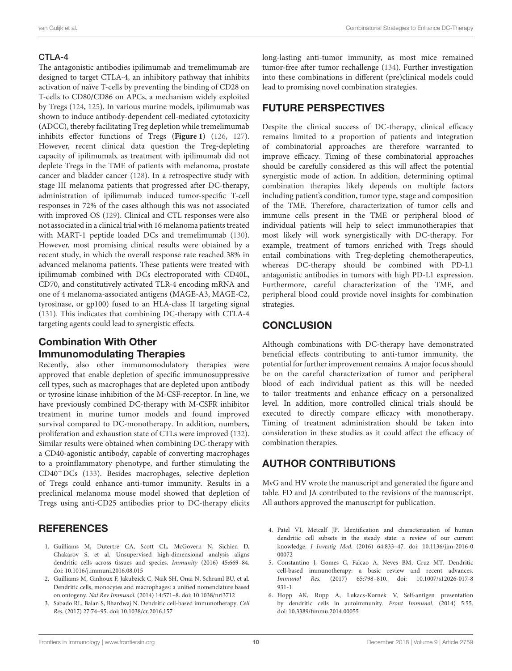#### CTLA-4

The antagonistic antibodies ipilimumab and tremelimumab are designed to target CTLA-4, an inhibitory pathway that inhibits activation of naïve T-cells by preventing the binding of CD28 on T-cells to CD80/CD86 on APCs, a mechanism widely exploited by Tregs [\(124,](#page-13-4) [125\)](#page-13-5). In various murine models, ipilimumab was shown to induce antibody-dependent cell-mediated cytotoxicity (ADCC), thereby facilitating Treg depletion while tremelimumab inhibits effector functions of Tregs (**[Figure 1](#page-7-0)**) [\(126,](#page-13-6) [127\)](#page-13-7). However, recent clinical data question the Treg-depleting capacity of ipilimumab, as treatment with ipilimumab did not deplete Tregs in the TME of patients with melanoma, prostate cancer and bladder cancer [\(128\)](#page-13-8). In a retrospective study with stage III melanoma patients that progressed after DC-therapy, administration of ipilimumab induced tumor-specific T-cell responses in 72% of the cases although this was not associated with improved OS [\(129\)](#page-13-9). Clinical and CTL responses were also not associated in a clinical trial with 16 melanoma patients treated with MART-1 peptide loaded DCs and tremelimumab [\(130\)](#page-13-10). However, most promising clinical results were obtained by a recent study, in which the overall response rate reached 38% in advanced melanoma patients. These patients were treated with ipilimumab combined with DCs electroporated with CD40L, CD70, and constitutively activated TLR-4 encoding mRNA and one of 4 melanoma-associated antigens (MAGE-A3, MAGE-C2, tyrosinase, or gp100) fused to an HLA-class II targeting signal [\(131\)](#page-13-11). This indicates that combining DC-therapy with CTLA-4 targeting agents could lead to synergistic effects.

# Combination With Other Immunomodulating Therapies

Recently, also other immunomodulatory therapies were approved that enable depletion of specific immunosuppressive cell types, such as macrophages that are depleted upon antibody or tyrosine kinase inhibition of the M-CSF-receptor. In line, we have previously combined DC-therapy with M-CSFR inhibitor treatment in murine tumor models and found improved survival compared to DC-monotherapy. In addition, numbers, proliferation and exhaustion state of CTLs were improved [\(132\)](#page-13-12). Similar results were obtained when combining DC-therapy with a CD40-agonistic antibody, capable of converting macrophages to a proinflammatory phenotype, and further stimulating the CD40+DCs [\(133\)](#page-13-13). Besides macrophages, selective depletion of Tregs could enhance anti-tumor immunity. Results in a preclinical melanoma mouse model showed that depletion of Tregs using anti-CD25 antibodies prior to DC-therapy elicits

## **REFERENCES**

- <span id="page-9-0"></span>1. Guilliams M, Dutertre CA, Scott CL, McGovern N, Sichien D, Chakarov S, et al. Unsupervised high-dimensional analysis aligns dendritic cells across tissues and species. Immunity (2016) 45:669–84. doi: [10.1016/j.immuni.2016.08.015](https://doi.org/10.1016/j.immuni.2016.08.015)
- 2. Guilliams M, Ginhoux F, Jakubzick C, Naik SH, Onai N, Schraml BU, et al. Dendritic cells, monocytes and macrophages: a unified nomenclature based on ontogeny. Nat Rev Immunol. (2014) 14:571–8. doi: [10.1038/nri3712](https://doi.org/10.1038/nri3712)
- <span id="page-9-4"></span>3. Sabado RL, Balan S, Bhardwaj N. Dendritic cell-based immunotherapy. Cell Res. (2017) 27:74–95. doi: [10.1038/cr.2016.157](https://doi.org/10.1038/cr.2016.157)

long-lasting anti-tumor immunity, as most mice remained tumor-free after tumor rechallenge [\(134\)](#page-13-14). Further investigation into these combinations in different (pre)clinical models could lead to promising novel combination strategies.

## FUTURE PERSPECTIVES

Despite the clinical success of DC-therapy, clinical efficacy remains limited to a proportion of patients and integration of combinatorial approaches are therefore warranted to improve efficacy. Timing of these combinatorial approaches should be carefully considered as this will affect the potential synergistic mode of action. In addition, determining optimal combination therapies likely depends on multiple factors including patient's condition, tumor type, stage and composition of the TME. Therefore, characterization of tumor cells and immune cells present in the TME or peripheral blood of individual patients will help to select immunotherapies that most likely will work synergistically with DC-therapy. For example, treatment of tumors enriched with Tregs should entail combinations with Treg-depleting chemotherapeutics, whereas DC-therapy should be combined with PD-L1 antagonistic antibodies in tumors with high PD-L1 expression. Furthermore, careful characterization of the TME, and peripheral blood could provide novel insights for combination strategies.

## **CONCLUSION**

Although combinations with DC-therapy have demonstrated beneficial effects contributing to anti-tumor immunity, the potential for further improvement remains. A major focus should be on the careful characterization of tumor and peripheral blood of each individual patient as this will be needed to tailor treatments and enhance efficacy on a personalized level. In addition, more controlled clinical trials should be executed to directly compare efficacy with monotherapy. Timing of treatment administration should be taken into consideration in these studies as it could affect the efficacy of combination therapies.

# AUTHOR CONTRIBUTIONS

MvG and HV wrote the manuscript and generated the figure and table. FD and JA contributed to the revisions of the manuscript. All authors approved the manuscript for publication.

- <span id="page-9-1"></span>4. Patel VI, Metcalf JP. Identification and characterization of human dendritic cell subsets in the steady state: a review of our current knowledge. J Investig Med. [\(2016\) 64:833–47. doi: 10.1136/jim-2016-0](https://doi.org/10.1136/jim-2016-000072) 00072
- <span id="page-9-2"></span>5. Constantino J, Gomes C, Falcao A, Neves BM, Cruz MT. Dendritic cell-based immunotherapy: a basic review and recent advances. Immunol Res. [\(2017\) 65:798–810. doi: 10.1007/s12026-017-8](https://doi.org/10.1007/s12026-017-8931-1) 931-1
- <span id="page-9-3"></span>6. Hopp AK, Rupp A, Lukacs-Kornek V, Self-antigen presentation by dendritic cells in autoimmunity. Front Immunol. (2014) 5:55. doi: [10.3389/fimmu.2014.00055](https://doi.org/10.3389/fimmu.2014.00055)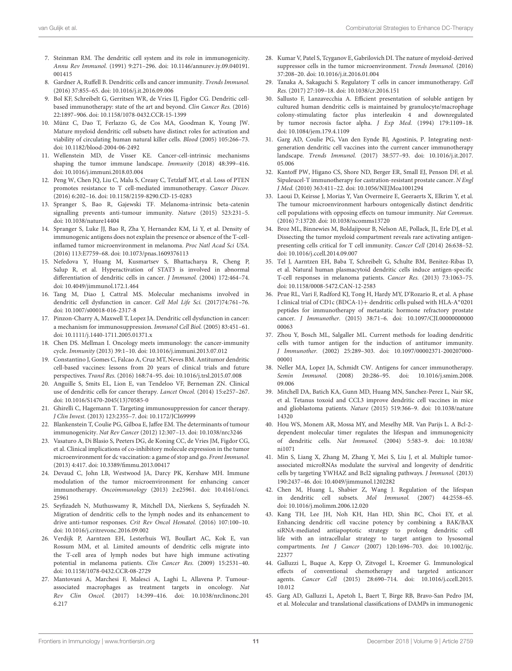- <span id="page-10-0"></span>7. Steinman RM. The dendritic cell system and its role in immunogenicity. Annu Rev Immunol. [\(1991\) 9:271–296. doi: 10.1146/annurev.iy.09.040191.](https://doi.org/10.1146/annurev.iy.09.040191.001415) 001415
- 8. Gardner A, Ruffell B. Dendritic cells and cancer immunity. Trends Immunol. (2016) 37:855–65. doi: [10.1016/j.it.2016.09.006](https://doi.org/10.1016/j.it.2016.09.006)
- <span id="page-10-1"></span>9. Bol KF, Schreibelt G, Gerritsen WR, de Vries IJ, Figdor CG. Dendritic cellbased immunotherapy: state of the art and beyond. Clin Cancer Res. (2016) 22:1897–906. doi: [10.1158/1078-0432.CCR-15-1399](https://doi.org/10.1158/1078-0432.CCR-15-1399)
- <span id="page-10-2"></span>10. Münz C, Dao T, Ferlazzo G, de Cos MA, Goodman K, Young JW. Mature myeloid dendritic cell subsets have distinct roles for activation and viability of circulating human natural killer cells. Blood (2005) 105:266–73. doi: [10.1182/blood-2004-06-2492](https://doi.org/10.1182/blood-2004-06-2492)
- <span id="page-10-3"></span>11. Wellenstein MD, de Visser KE. Cancer-cell-intrinsic mechanisms shaping the tumor immune landscape. Immunity (2018) 48:399–416. doi: [10.1016/j.immuni.2018.03.004](https://doi.org/10.1016/j.immuni.2018.03.004)
- 12. Peng W, Chen JQ, Liu C, Malu S, Creasy C, Tetzlaff MT, et al. Loss of PTEN promotes resistance to T cell-mediated immunotherapy. Cancer Discov. (2016) 6:202–16. doi: [10.1158/2159-8290.CD-15-0283](https://doi.org/10.1158/2159-8290.CD-15-0283)
- 13. Spranger S, Bao R, Gajewski TF. Melanoma-intrinsic beta-catenin signalling prevents anti-tumour immunity. Nature (2015) 523:231–5. doi: [10.1038/nature14404](https://doi.org/10.1038/nature14404)
- <span id="page-10-4"></span>14. Spranger S, Luke JJ, Bao R, Zha Y, Hernandez KM, Li Y, et al. Density of immunogenic antigens does not explain the presence or absence of the T-cellinflamed tumor microenvironment in melanoma. Proc Natl Acad Sci USA. (2016) 113:E7759–68. doi: [10.1073/pnas.1609376113](https://doi.org/10.1073/pnas.1609376113)
- <span id="page-10-5"></span>15. Nefedova Y, Huang M, Kusmartsev S, Bhattacharya R, Cheng P, Salup R, et al. Hyperactivation of STAT3 is involved in abnormal differentiation of dendritic cells in cancer. J Immunol. (2004) 172:464–74. doi: [10.4049/jimmunol.172.1.464](https://doi.org/10.4049/jimmunol.172.1.464)
- <span id="page-10-6"></span>16. Tang M, Diao J, Cattral MS. Molecular mechanisms involved in dendritic cell dysfunction in cancer. Cell Mol Life Sci. (2017)74:761–76. doi: [10.1007/s00018-016-2317-8](https://doi.org/10.1007/s00018-016-2317-8)
- 17. Pinzon-Charry A, Maxwell T, Lopez JA. Dendritic cell dysfunction in cancer: a mechanism for immunosuppression. Immunol Cell Biol. (2005) 83:451–61. doi: [10.1111/j.1440-1711.2005.01371.x](https://doi.org/10.1111/j.1440-1711.2005.01371.x)
- <span id="page-10-7"></span>18. Chen DS. Mellman I. Oncology meets immunology: the cancer-immunity cycle. Immunity (2013) 39:1–10. doi: [10.1016/j.immuni.2013.07.012](https://doi.org/10.1016/j.immuni.2013.07.012)
- <span id="page-10-8"></span>19. Constantino J, Gomes C, Falcao A, Cruz MT, Neves BM. Antitumor dendritic cell-based vaccines: lessons from 20 years of clinical trials and future perspectives. Transl Res. (2016) 168:74–95. doi: [10.1016/j.trsl.2015.07.008](https://doi.org/10.1016/j.trsl.2015.07.008)
- <span id="page-10-9"></span>20. Anguille S, Smits EL, Lion E, van Tendeloo VF, Berneman ZN. Clinical use of dendritic cells for cancer therapy. Lancet Oncol. (2014) 15:e257–267. doi: [10.1016/S1470-2045\(13\)70585-0](https://doi.org/10.1016/S1470-2045(13)70585-0)
- <span id="page-10-10"></span>21. Ghirelli C, Hagemann T. Targeting immunosuppression for cancer therapy. J Clin Invest. (2013) 123:2355–7. doi: [10.1172/JCI69999](https://doi.org/10.1172/JCI69999)
- 22. Blankenstein T, Coulie PG, Gilboa E, Jaffee EM. The determinants of tumour immunogenicity. Nat Rev Cancer (2012) 12:307–13. doi: [10.1038/nrc3246](https://doi.org/10.1038/nrc3246)
- 23. Vasaturo A, Di Blasio S, Peeters DG, de Koning CC, de Vries JM, Figdor CG, et al. Clinical implications of co-inhibitory molecule expression in the tumor microenvironment for dc vaccination: a game of stop and go. Front Immunol. (2013) 4:417. doi: [10.3389/fimmu.2013.00417](https://doi.org/10.3389/fimmu.2013.00417)
- 24. Devaud C, John LB, Westwood JA, Darcy PK, Kershaw MH. Immune modulation of the tumor microenvironment for enhancing cancer immunotherapy. Oncoimmunology [\(2013\) 2:e25961. doi: 10.4161/onci.](https://doi.org/10.4161/onci.25961) 25961
- 25. Seyfizadeh N, Muthuswamy R, Mitchell DA, Nierkens S, Seyfizadeh N. Migration of dendritic cells to the lymph nodes and its enhancement to drive anti-tumor responses. Crit Rev Oncol Hematol. (2016) 107:100–10. doi: [10.1016/j.critrevonc.2016.09.002](https://doi.org/10.1016/j.critrevonc.2016.09.002)
- <span id="page-10-11"></span>26. Verdijk P, Aarntzen EH, Lesterhuis WJ, Boullart AC, Kok E, van Rossum MM, et al. Limited amounts of dendritic cells migrate into the T-cell area of lymph nodes but have high immune activating potential in melanoma patients. Clin Cancer Res. (2009) 15:2531–40. doi: [10.1158/1078-0432.CCR-08-2729](https://doi.org/10.1158/1078-0432.CCR-08-2729)
- <span id="page-10-12"></span>27. Mantovani A, Marchesi F, Malesci A, Laghi L, Allavena P. Tumourassociated macrophages as treatment targets in oncology. Nat Rev Clin Oncol. [\(2017\) 14:399–416. doi: 10.1038/nrclinonc.201](https://doi.org/10.1038/nrclinonc.2016.217) 6.217
- 28. Kumar V, Patel S, Tcyganov E, Gabrilovich DI. The nature of myeloid-derived suppressor cells in the tumor microenvironment. Trends Immunol. (2016) 37:208–20. doi: [10.1016/j.it.2016.01.004](https://doi.org/10.1016/j.it.2016.01.004)
- <span id="page-10-13"></span>29. Tanaka A, Sakaguchi S. Regulatory T cells in cancer immunotherapy. Cell Res. (2017) 27:109–18. doi: [10.1038/cr.2016.151](https://doi.org/10.1038/cr.2016.151)
- <span id="page-10-14"></span>30. Sallusto F, Lanzavecchia A. Efficient presentation of soluble antigen by cultured human dendritic cells is maintained by granulocyte/macrophage colony-stimulating factor plus interleukin 4 and downregulated by tumor necrosis factor alpha. J Exp Med. (1994) 179:1109–18. doi: [10.1084/jem.179.4.1109](https://doi.org/10.1084/jem.179.4.1109)
- <span id="page-10-15"></span>31. Garg AD, Coulie PG, Van den Eynde BJ, Agostinis, P. Integrating nextgeneration dendritic cell vaccines into the current cancer immunotherapy landscape. Trends Immunol. [\(2017\) 38:577–93. doi: 10.1016/j.it.2017.](https://doi.org/10.1016/j.it.2017.05.006) 05.006
- <span id="page-10-16"></span>32. Kantoff PW, Higano CS, Shore ND, Berger ER, Small EJ, Penson DF, et al. Sipuleucel-T immunotherapy for castration-resistant prostate cancer. N Engl J Med. (2010) 363:411–22. doi: [10.1056/NEJMoa1001294](https://doi.org/10.1056/NEJMoa1001294)
- <span id="page-10-17"></span>33. Laoui D, Keirsse J, Morias Y, Van Overmeire E, Geeraerts X, Elkrim Y, et al. The tumour microenvironment harbours ontogenically distinct dendritic cell populations with opposing effects on tumour immunity. Nat Commun. (2016) 7:13720. doi: [10.1038/ncomms13720](https://doi.org/10.1038/ncomms13720)
- <span id="page-10-18"></span>34. Broz ML, Binnewies M, Boldajipour B, Nelson AE, Pollack, JL, Erle DJ, et al. Dissecting the tumor myeloid compartment reveals rare activating antigenpresenting cells critical for T cell immunity. Cancer Cell (2014) 26:638–52. doi: [10.1016/j.ccell.2014.09.007](https://doi.org/10.1016/j.ccell.2014.09.007)
- <span id="page-10-19"></span>35. Tel J, Aarntzen EH, Baba T, Schreibelt G, Schulte BM, Benitez-Ribas D, et al. Natural human plasmacytoid dendritic cells induce antigen-specific T-cell responses in melanoma patients. Cancer Res. (2013) 73:1063–75. doi: [10.1158/0008-5472.CAN-12-2583](https://doi.org/10.1158/0008-5472.CAN-12-2583)
- <span id="page-10-20"></span>36. Prue RL, Vari F, Radford KJ, Tong H, Hardy MY, D'Rozario R, et al. A phase I clinical trial of CD1c (BDCA-1)+ dendritic cells pulsed with HLA-A<sup>∗</sup> 0201 peptides for immunotherapy of metastatic hormone refractory prostate cancer. J Immunother. [\(2015\) 38:71–6. doi: 10.1097/CJI.00000000000](https://doi.org/10.1097/CJI.0000000000000063) 00063
- <span id="page-10-21"></span>37. Zhou Y, Bosch ML, Salgaller ML. Current methods for loading dendritic cells with tumor antigen for the induction of antitumor immunity. J Immunother. [\(2002\) 25:289–303. doi: 10.1097/00002371-200207000-](https://doi.org/10.1097/00002371-200207000-00001) 00001
- <span id="page-10-22"></span>38. Neller MA, Lopez JA, Schmidt CW. Antigens for cancer immunotherapy. Semin Immunol. [\(2008\) 20:286–95. doi: 10.1016/j.smim.2008.](https://doi.org/10.1016/j.smim.2008.09.006) 09.006
- <span id="page-10-23"></span>39. Mitchell DA, Batich KA, Gunn MD, Huang MN, Sanchez-Perez L, Nair SK, et al. Tetanus toxoid and CCL3 improve dendritic cell vaccines in mice and glioblastoma patients. Nature [\(2015\) 519:366–9. doi: 10.1038/nature](https://doi.org/10.1038/nature14320) 14320
- <span id="page-10-24"></span>40. Hou WS, Monem AR, Mossa MY, and Meselhy MR. Van Parijs L. A Bcl-2 dependent molecular timer regulates the lifespan and immunogenicity of dendritic cells. Nat Immunol. [\(2004\) 5:583–9. doi: 10.1038/](https://doi.org/10.1038/ni1071) ni1071
- 41. Min S, Liang X, Zhang M, Zhang Y, Mei S, Liu J, et al. Multiple tumorassociated microRNAs modulate the survival and longevity of dendritic cells by targeting YWHAZ and Bcl2 signaling pathways. J Immunol. (2013) 190:2437–46. doi: [10.4049/jimmunol.1202282](https://doi.org/10.4049/jimmunol.1202282)
- 42. Chen M, Huang L, Shabier Z, Wang J. Regulation of the lifespan in dendritic cell subsets. Mol Immunol. (2007) 44:2558–65. doi: [10.1016/j.molimm.2006.12.020](https://doi.org/10.1016/j.molimm.2006.12.020)
- <span id="page-10-25"></span>43. Kang TH, Lee JH, Noh KH, Han HD, Shin BC, Choi EY, et al. Enhancing dendritic cell vaccine potency by combining a BAK/BAX siRNA-mediated antiapoptotic strategy to prolong dendritic cell life with an intracellular strategy to target antigen to lysosomal compartments. Int J Cancer [\(2007\) 120:1696–703. doi: 10.1002/ijc.](https://doi.org/10.1002/ijc.22377) 22377
- <span id="page-10-26"></span>44. Galluzzi L, Buque A, Kepp O, Zitvogel L, Kroemer G. Immunological effects of conventional chemotherapy and targeted anticancer agents. Cancer Cell [\(2015\) 28:690–714. doi: 10.1016/j.ccell.2015.](https://doi.org/10.1016/j.ccell.2015.10.012) 10.012
- <span id="page-10-27"></span>45. Garg AD, Galluzzi L, Apetoh L, Baert T, Birge RB, Bravo-San Pedro JM, et al. Molecular and translational classifications of DAMPs in immunogenic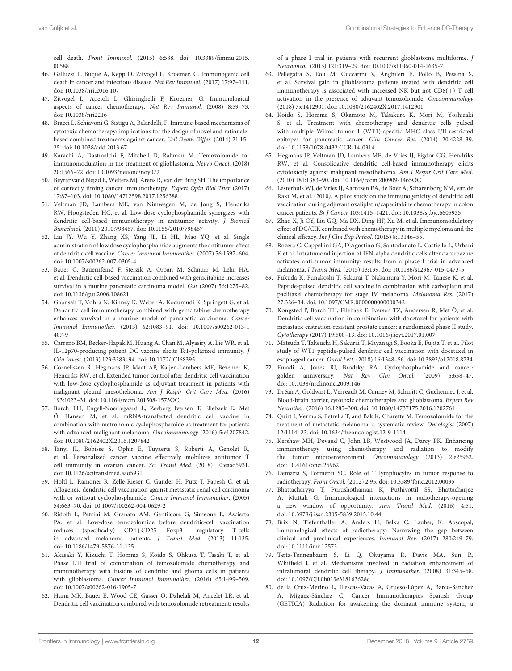cell death. Front Immunol. [\(2015\) 6:588. doi: 10.3389/fimmu.2015.](https://doi.org/10.3389/fimmu.2015.00588) 00588

- <span id="page-11-0"></span>46. Galluzzi L, Buque A, Kepp O, Zitvogel L, Kroemer, G. Immunogenic cell death in cancer and infectious disease. Nat Rev Immunol. (2017) 17:97–111. doi: [10.1038/nri.2016.107](https://doi.org/10.1038/nri.2016.107)
- <span id="page-11-1"></span>47. Zitvogel L, Apetoh L, Ghiringhelli F, Kroemer, G. Immunological aspects of cancer chemotherapy. Nat Rev Immunol. (2008) 8:59–73. doi: [10.1038/nri2216](https://doi.org/10.1038/nri2216)
- 48. Bracci L, Schiavoni G, Sistigu A, Belardelli, F. Immune-based mechanisms of cytotoxic chemotherapy: implications for the design of novel and rationalebased combined treatments against cancer. Cell Death Differ. (2014) 21:15– 25. doi: [10.1038/cdd.2013.67](https://doi.org/10.1038/cdd.2013.67)
- <span id="page-11-2"></span>49. Karachi A, Dastmalchi F, Mitchell D, Rahman M. Temozolomide for immunomodulation in the treatment of glioblastoma. Neuro Oncol. (2018) 20:1566–72. doi: [10.1093/neuonc/noy072](https://doi.org/10.1093/neuonc/noy072)
- <span id="page-11-3"></span>50. Beyranvand Nejad E, Welters MJ, Arens R, van der Burg SH. The importance of correctly timing cancer immunotherapy. Expert Opin Biol Ther (2017) 17:87–103. doi: [10.1080/14712598.2017.1256388](https://doi.org/10.1080/14712598.2017.1256388)
- <span id="page-11-5"></span>51. Veltman JD, Lambers ME, van Nimwegen M, de Jong S, Hendriks RW, Hoogsteden HC, et al. Low-dose cyclophosphamide synergizes with dendritic cell-based immunotherapy in antitumor activity. J Biomed Biotechnol. (2010) 2010:798467. doi: [10.1155/2010/798467](https://doi.org/10.1155/2010/798467)
- <span id="page-11-6"></span>52. Liu JY, Wu Y, Zhang XS, Yang JL, Li HL, Mao YQ, et al. Single administration of low dose cyclophosphamide augments the antitumor effect of dendritic cell vaccine. Cancer Immunol Immunother. (2007) 56:1597–604. doi: [10.1007/s00262-007-0305-4](https://doi.org/10.1007/s00262-007-0305-4)
- <span id="page-11-18"></span>53. Bauer C, Bauernfeind F, Sterzik A, Orban M, Schnurr M, Lehr HA, et al. Dendritic cell-based vaccination combined with gemcitabine increases survival in a murine pancreatic carcinoma model. Gut (2007) 56:1275–82. doi: [10.1136/gut.2006.108621](https://doi.org/10.1136/gut.2006.108621)
- <span id="page-11-19"></span>54. Ghansah T, Vohra N, Kinney K, Weber A, Kodumudi K, Springett G, et al. Dendritic cell immunotherapy combined with gemcitabine chemotherapy enhances survival in a murine model of pancreatic carcinoma. Cancer Immunol Immunother. [\(2013\) 62:1083–91. doi: 10.1007/s00262-013-1](https://doi.org/10.1007/s00262-013-1407-9) 407-9
- <span id="page-11-7"></span>55. Carreno BM, Becker-Hapak M, Huang A, Chan M, Alyasiry A, Lie WR, et al. IL-12p70-producing patient DC vaccine elicits Tc1-polarized immunity. J Clin Invest. (2013) 123:3383–94. doi: [10.1172/JCI68395](https://doi.org/10.1172/JCI68395)
- <span id="page-11-8"></span>56. Cornelissen R, Hegmans JP, Maat AP, Kaijen-Lambers ME, Bezemer K, Hendriks RW, et al. Extended tumor control after dendritic cell vaccination with low-dose cyclophosphamide as adjuvant treatment in patients with malignant pleural mesothelioma. Am J Respir Crit Care Med. (2016) 193:1023–31. doi: [10.1164/rccm.201508-1573OC](https://doi.org/10.1164/rccm.201508-1573OC)
- <span id="page-11-9"></span>57. Borch TH, Engell-Noerregaard L, Zeeberg Iversen T, Ellebaek E, Met Ö, Hansen M, et al. mRNA-transfected dendritic cell vaccine in combination with metronomic cyclophosphamide as treatment for patients with advanced malignant melanoma. Oncoimmunology (2016) 5:e1207842. doi: [10.1080/2162402X.2016.1207842](https://doi.org/10.1080/2162402X.2016.1207842)
- <span id="page-11-10"></span>58. Tanyi JL, Bobisse S, Ophir E, Tuyaerts S, Roberti A, Genolet R, et al. Personalized cancer vaccine effectively mobilizes antitumor T cell immunity in ovarian cancer. Sci Transl Med. (2018) 10:eaao5931. doi: [10.1126/scitranslmed.aao5931](https://doi.org/10.1126/scitranslmed.aao5931)
- <span id="page-11-11"></span>59. Holtl L, Ramoner R, Zelle-Rieser C, Gander H, Putz T, Papesh C, et al. Allogeneic dendritic cell vaccination against metastatic renal cell carcinoma with or without cyclophosphamide. Cancer Immunol Immunother. (2005) 54:663–70. doi: [10.1007/s00262-004-0629-2](https://doi.org/10.1007/s00262-004-0629-2)
- <span id="page-11-14"></span>60. Ridolfi L, Petrini M, Granato AM, Gentilcore G, Simeone E, Ascierto PA, et al. Low-dose temozolomide before dendritic-cell vaccination reduces (specifically) CD4+CD25++Foxp3+ regulatory T-cells in advanced melanoma patients. J Transl Med. (2013) 11:135. doi: [10.1186/1479-5876-11-135](https://doi.org/10.1186/1479-5876-11-135)
- <span id="page-11-15"></span>61. Akasaki Y, Kikuchi T, Homma S, Koido S, Ohkusa T, Tasaki T, et al. Phase I/II trial of combination of temozolomide chemotherapy and immunotherapy with fusions of dendritic and glioma cells in patients with glioblastoma. Cancer Immunol Immunother. (2016) 65:1499–509. doi: [10.1007/s00262-016-1905-7](https://doi.org/10.1007/s00262-016-1905-7)
- <span id="page-11-16"></span>62. Hunn MK, Bauer E, Wood CE, Gasser O, Dzhelali M, Ancelet LR, et al. Dendritic cell vaccination combined with temozolomide retreatment: results

of a phase I trial in patients with recurrent glioblastoma multiforme. J Neurooncol. (2015) 121:319–29. doi: [10.1007/s11060-014-1635-7](https://doi.org/10.1007/s11060-014-1635-7)

- <span id="page-11-17"></span>63. Pellegatta S, Eoli M, Cuccarini V, Anghileri E, Pollo B, Pessina S, et al. Survival gain in glioblastoma patients treated with dendritic cell immunotherapy is associated with increased NK but not CD8(+) T cell activation in the presence of adjuvant temozolomide. Oncoimmunology (2018) 7:e1412901. doi: [10.1080/2162402X.2017.1412901](https://doi.org/10.1080/2162402X.2017.1412901)
- <span id="page-11-20"></span>64. Koido S, Homma S, Okamoto M, Takakura K, Mori M, Yoshizaki S, et al. Treatment with chemotherapy and dendritic cells pulsed with multiple Wilms' tumor 1 (WT1)-specific MHC class I/II-restricted epitopes for pancreatic cancer. Clin Cancer Res. (2014) 20:4228–39. doi: [10.1158/1078-0432.CCR-14-0314](https://doi.org/10.1158/1078-0432.CCR-14-0314)
- <span id="page-11-21"></span>65. Hegmans JP, Veltman JD, Lambers ME, de Vries IJ, Figdor CG, Hendriks RW, et al. Consolidative dendritic cell-based immunotherapy elicits cytotoxicity against malignant mesothelioma. Am J Respir Crit Care Med. (2010) 181:1383–90. doi: [10.1164/rccm.200909-1465OC](https://doi.org/10.1164/rccm.200909-1465OC)
- <span id="page-11-22"></span>66. Lesterhuis WJ, de Vries IJ, Aarntzen EA, de Boer A, Scharenborg NM, van de Rakt M, et al. (2010). A pilot study on the immunogenicity of dendritic cell vaccination during adjuvant oxaliplatin/capecitabine chemotherapy in colon cancer patients. Br J Cancer 103:1415–1421. doi: [10.1038/sj.bjc.6605935](https://doi.org/10.1038/sj.bjc.6605935)
- <span id="page-11-23"></span>67. Zhao X, Ji CY, Liu GQ, Ma DX, Ding HF, Xu M, et al. Immunomodulatory effect of DC/CIK combined with chemotherapy in multiple myeloma and the clinical efficacy. Int J Clin Exp Pathol. (2015) 8:13146–55.
- <span id="page-11-24"></span>68. Rozera C, Cappellini GA, D'Agostino G, Santodonato L, Castiello L, Urbani F, et al. Intratumoral injection of IFN-alpha dendritic cells after dacarbazine activates anti-tumor immunity: results from a phase I trial in advanced melanoma. J Transl Med. (2015) 13:139. doi: [10.1186/s12967-015-0473-5](https://doi.org/10.1186/s12967-015-0473-5)
- <span id="page-11-25"></span>69. Fukuda K, Funakoshi T, Sakurai T, Nakamura Y, Mori M, Tanese K, et al. Peptide-pulsed dendritic cell vaccine in combination with carboplatin and paclitaxel chemotherapy for stage IV melanoma. Melanoma Res. (2017) 27:326–34. doi: [10.1097/CMR.0000000000000342](https://doi.org/10.1097/CMR.0000000000000342)
- 70. Kongsted P, Borch TH, Ellebaek E, Iversen TZ, Andersen R, Met Ö, et al. Dendritic cell vaccination in combination with docetaxel for patients with metastatic castration-resistant prostate cancer: a randomized phase II study. Cytotherapy (2017) 19:500–13. doi: [10.1016/j.jcyt.2017.01.007](https://doi.org/10.1016/j.jcyt.2017.01.007)
- 71. Matsuda T, Takeuchi H, Sakurai T, Mayanagi S, Booka E, Fujita T, et al. Pilot study of WT1 peptide-pulsed dendritic cell vaccination with docetaxel in esophageal cancer. Oncol Lett. (2018) 16:1348–56. doi: [10.3892/ol.2018.8734](https://doi.org/10.3892/ol.2018.8734)
- <span id="page-11-4"></span>72. Emadi A, Jones RJ, Brodsky RA. Cyclophosphamide and cancer: golden anniversary. Nat Rev Clin Oncol. (2009) 6:638–47. doi: [10.1038/nrclinonc.2009.146](https://doi.org/10.1038/nrclinonc.2009.146)
- <span id="page-11-12"></span>73. Dréan A, Goldwirt L, Verreault M, Canney M, Schmitt C, Guehennec J, et al. Blood-brain barrier, cytotoxic chemotherapies and glioblastoma. Expert Rev Neurother. (2016) 16:1285–300. doi: [10.1080/14737175.2016.1202761](https://doi.org/10.1080/14737175.2016.1202761)
- <span id="page-11-13"></span>74. Quirt I, Verma S, Petrella T, and Bak K, Charette M. Temozolomide for the treatment of metastatic melanoma: a systematic review. Oncologist (2007) 12:1114–23. doi: [10.1634/theoncologist.12-9-1114](https://doi.org/10.1634/theoncologist.12-9-1114)
- 75. Kershaw MH, Devaud C, John LB, Westwood JA, Darcy PK. Enhancing immunotherapy using chemotherapy and radiation to modify the tumor microenvironment. Oncoimmunology (2013) 2:e25962. doi: [10.4161/onci.25962](https://doi.org/10.4161/onci.25962)
- <span id="page-11-26"></span>76. Demaria S, Formenti SC. Role of T lymphocytes in tumor response to radiotherapy. Front Oncol. (2012) 2:95. doi: [10.3389/fonc.2012.00095](https://doi.org/10.3389/fonc.2012.00095)
- 77. Bhattacharyya T, Purushothaman K, Puthiyottil SS, Bhattacharjee A, Muttah G. Immunological interactions in radiotherapy-opening a new window of opportunity. Ann Transl Med. (2016) 4:51. doi: [10.3978/j.issn.2305-5839.2015.10.44](https://doi.org/10.3978/j.issn.2305-5839.2015.10.44)
- 78. Brix N, Tiefenthaller A, Anders H, Belka C, Lauber, K. Abscopal, immunological effects of radiotherapy: Narrowing the gap between clinical and preclinical experiences. Immunol Rev. (2017) 280:249–79. doi: [10.1111/imr.12573](https://doi.org/10.1111/imr.12573)
- 79. Teitz-Tennenbaum S, Li Q, Okuyama R, Davis MA, Sun R, Whitfield J, et al. Mechanisms involved in radiation enhancement of intratumoral dendritic cell therapy. J Immunother. (2008) 31:345–58. doi: [10.1097/CJI.0b013e318163628c](https://doi.org/10.1097/CJI.0b013e318163628c)
- <span id="page-11-27"></span>80. de la Cruz-Merino L, Illescas-Vacas A, Grueso-López A, Barco-Sánchez A, Míguez-Sánchez C, Cancer Immunotherapies Spanish Group (GETICA) Radiation for awakening the dormant immune system, a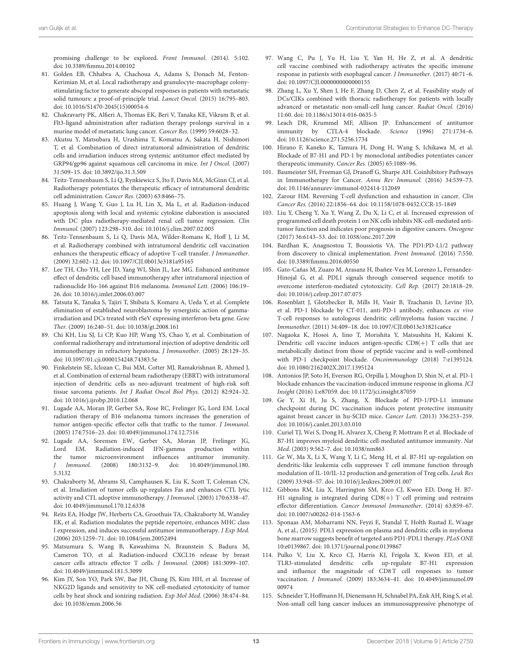promising challenge to be explored. Front Immunol. (2014). 5:102. doi: [10.3389/fimmu.2014.00102](https://doi.org/10.3389/fimmu.2014.00102)

- <span id="page-12-0"></span>81. Golden EB, Chhabra A, Chachoua A, Adams S, Donach M, Fenton-Kerimian M, et al. Local radiotherapy and granulocyte-macrophage colonystimulating factor to generate abscopal responses in patients with metastatic solid tumours: a proof-of-principle trial. Lancet Oncol. (2015) 16:795–803. doi: [10.1016/S1470-2045\(15\)00054-6](https://doi.org/10.1016/S1470-2045(15)00054-6)
- <span id="page-12-1"></span>82. Chakravarty PK, Alfieri A, Thomas EK, Beri V, Tanaka KE, Vikram B, et al. Flt3-ligand administration after radiation therapy prolongs survival in a murine model of metastatic lung cancer. Cancer Res. (1999) 59:6028–32.
- <span id="page-12-2"></span>83. Akutsu Y, Matsubara H, Urashima T, Komatsu A, Sakata H, Nishimori T, et al. Combination of direct intratumoral administration of dendritic cells and irradiation induces strong systemic antitumor effect mediated by GRP94/gp96 against squamous cell carcinoma in mice. Int J Oncol. (2007) 31:509–15. doi: [10.3892/ijo.31.3.509](https://doi.org/10.3892/ijo.31.3.509)
- <span id="page-12-3"></span>84. Teitz-Tennenbaum S, Li Q, Rynkiewicz S, Ito F, Davis MA, McGinn CJ, et al. Radiotherapy potentiates the therapeutic efficacy of intratumoral dendritic cell administration. Cancer Res. (2003) 63:8466–75.
- 85. Huang J, Wang Y, Guo J, Lu H, Lin X, Ma L, et al. Radiation-induced apoptosis along with local and systemic cytokine elaboration is associated with DC plus radiotherapy-mediated renal cell tumor regression. Clin Immunol. (2007) 123:298–310. doi: [10.1016/j.clim.2007.02.005](https://doi.org/10.1016/j.clim.2007.02.005)
- 86. Teitz-Tennenbaum S, Li Q, Davis MA, Wilder-Romans K, Hoff J, Li M, et al. Radiotherapy combined with intratumoral dendritic cell vaccination enhances the therapeutic efficacy of adoptive T-cell transfer. J Immunother. (2009) 32:602–12. doi: [10.1097/CJI.0b013e3181a95165](https://doi.org/10.1097/CJI.0b013e3181a95165)
- 87. Lee TH, Cho YH, Lee JD, Yang WI, Shin JL, Lee MG. Enhanced antitumor effect of dendritic cell based immunotherapy after intratumoral injection of radionuclide Ho-166 against B16 melanoma. Immunol Lett. (2006) 106:19– 26. doi: [10.1016/j.imlet.2006.03.007](https://doi.org/10.1016/j.imlet.2006.03.007)
- <span id="page-12-4"></span>88. Tatsuta K, Tanaka S, Tajiri T, Shibata S, Komaru A, Ueda Y, et al. Complete elimination of established neuroblastoma by synergistic action of gammairradiation and DCs treated with rSeV expressing interferon-beta gene. Gene Ther. (2009) 16:240–51. doi: [10.1038/gt.2008.161](https://doi.org/10.1038/gt.2008.161)
- <span id="page-12-5"></span>89. Chi KH, Liu SJ, Li CP, Kuo HP, Wang YS, Chao Y, et al. Combination of conformal radiotherapy and intratumoral injection of adoptive dendritic cell immunotherapy in refractory hepatoma. J Immunother. (2005) 28:129–35. doi: [10.1097/01.cji.0000154248.74383.5e](https://doi.org/10.1097/01.cji.0000154248.74383.5e)
- <span id="page-12-6"></span>90. Finkelstein SE, Iclozan C, Bui MM, Cotter MJ, Ramakrishnan R, Ahmed J, et al. Combination of external beam radiotherapy (EBRT) with intratumoral injection of dendritic cells as neo-adjuvant treatment of high-risk soft tissue sarcoma patients. Int J Radiat Oncol Biol Phys. (2012) 82:924–32. doi: [10.1016/j.ijrobp.2010.12.068](https://doi.org/10.1016/j.ijrobp.2010.12.068)
- <span id="page-12-7"></span>91. Lugade AA, Moran JP, Gerber SA, Rose RC, Frelinger JG, Lord EM. Local radiation therapy of B16 melanoma tumors increases the generation of tumor antigen-specific effector cells that traffic to the tumor. J Immunol. (2005) 174:7516–23. doi: [10.4049/jimmunol.174.12.7516](https://doi.org/10.4049/jimmunol.174.12.7516)
- 92. Lugade AA, Sorensen EW, Gerber SA, Moran JP, Frelinger JG, Lord EM. Radiation-induced IFN-gamma production within the tumor microenvironment influences antitumor immunity.<br> *J Immunol.* (2008) 180:3132-9. doi: 10.4049/jimmunol.180. Immunol. (2008) 180:3132-9. doi: 10.4049/jimmunol.180. 5.3132
- 93. Chakraborty M, Abrams SI, Camphausen K, Liu K, Scott T, Coleman CN, et al. Irradiation of tumor cells up-regulates Fas and enhances CTL lytic activity and CTL adoptive immunotherapy. J Immunol. (2003) 170:6338–47. doi: [10.4049/jimmunol.170.12.6338](https://doi.org/10.4049/jimmunol.170.12.6338)
- 94. Reits EA, Hodge JW, Herberts CA, Groothuis TA, Chakraborty M, Wansley EK, et al. Radiation modulates the peptide repertoire, enhances MHC class I expression, and induces successful antitumor immunotherapy. J Exp Med. (2006) 203:1259–71. doi: [10.1084/jem.20052494](https://doi.org/10.1084/jem.20052494)
- 95. Matsumura S, Wang B, Kawashima N, Braunstein S, Badura M, Cameron TO, et al. Radiation-induced CXCL16 release by breast cancer cells attracts effector T cells. J Immunol. (2008) 181:3099–107. doi: [10.4049/jimmunol.181.5.3099](https://doi.org/10.4049/jimmunol.181.5.3099)
- <span id="page-12-8"></span>96. Kim JY, Son YO, Park SW, Bae JH, Chung JS, Kim HH, et al. Increase of NKG2D ligands and sensitivity to NK cell-mediated cytotoxicity of tumor cells by heat shock and ionizing radiation. Exp Mol Med. (2006) 38:474–84. doi: [10.1038/emm.2006.56](https://doi.org/10.1038/emm.2006.56)
- <span id="page-12-9"></span>97. Wang C, Pu J, Yu H, Liu Y, Yan H, He Z, et al. A dendritic cell vaccine combined with radiotherapy activates the specific immune response in patients with esophageal cancer. J Immunother. (2017) 40:71–6. doi: [10.1097/CJI.0000000000000155](https://doi.org/10.1097/CJI.0000000000000155)
- <span id="page-12-10"></span>98. Zhang L, Xu Y, Shen J, He F, Zhang D, Chen Z, et al. Feasibility study of DCs/CIKs combined with thoracic radiotherapy for patients with locally advanced or metastatic non-small-cell lung cancer. Radiat Oncol. (2016) 11:60. doi: [10.1186/s13014-016-0635-5](https://doi.org/10.1186/s13014-016-0635-5)
- <span id="page-12-11"></span>99. Leach DR, Krummel MF, Allison JP. Enhancement of antitumor immunity by CTLA-4 blockade. Science (1996) 271:1734–6. doi: [10.1126/science.271.5256.1734](https://doi.org/10.1126/science.271.5256.1734)
- <span id="page-12-12"></span>100. Hirano F, Kaneko K, Tamura H, Dong H, Wang S, Ichikawa M, et al. Blockade of B7-H1 and PD-1 by monoclonal antibodies potentiates cancer therapeutic immunity. Cancer Res. (2005) 65:1089–96.
- <span id="page-12-13"></span>101. Baumeister SH, Freeman GJ, Dranoff G, Sharpe AH. Coinhibitory Pathways in Immunotherapy for Cancer. Annu Rev Immunol. (2016) 34:539–73. doi: [10.1146/annurev-immunol-032414-112049](https://doi.org/10.1146/annurev-immunol-032414-112049)
- 102. Zarour HM. Reversing T-cell dysfunction and exhaustion in cancer. Clin Cancer Res. (2016) 22:1856–64. doi: [10.1158/1078-0432.CCR-15-1849](https://doi.org/10.1158/1078-0432.CCR-15-1849)
- 103. Liu Y, Cheng Y, Xu Y, Wang Z, Du X, Li C, et al. Increased expression of programmed cell death protein 1 on NK cells inhibits NK-cell-mediated antitumor function and indicates poor prognosis in digestive cancers. Oncogene (2017) 36:6143–53. doi: [10.1038/onc.2017.209](https://doi.org/10.1038/onc.2017.209)
- <span id="page-12-14"></span>104. Bardhan K, Anagnostou T, Boussiotis VA. The PD1:PD-L1/2 pathway from discovery to clinical implementation. Front Immunol. (2016) 7:550. doi: [10.3389/fimmu.2016.00550](https://doi.org/10.3389/fimmu.2016.00550)
- <span id="page-12-15"></span>105. Gato-Cañas M, Zuazo M, Arasanz H, Ibañez-Vea M, Lorenzo L, Fernandez-Hinojal G, et al. PDL1 signals through conserved sequence motifs to overcome interferon-mediated cytotoxicity. Cell Rep. (2017) 20:1818–29. doi: [10.1016/j.celrep.2017.07.075](https://doi.org/10.1016/j.celrep.2017.07.075)
- <span id="page-12-16"></span>106. Rosenblatt J, Glotzbecker B, Mills H, Vasir B, Tzachanis D, Levine JD, et al. PD-1 blockade by CT-011, anti-PD-1 antibody, enhances ex vivo T-cell responses to autologous dendritic cell/myeloma fusion vaccine. J Immunother. (2011) 34:409–18. doi: [10.1097/CJI.0b013e31821ca6ce](https://doi.org/10.1097/CJI.0b013e31821ca6ce)
- <span id="page-12-17"></span>107. Nagaoka K, Hosoi A, Iino T, Morishita Y, Matsushita H, Kakimi K. Dendritic cell vaccine induces antigen-specific CD8(+) T cells that are metabolically distinct from those of peptide vaccine and is well-combined with PD-1 checkpoint blockade. Oncoimmunology (2018) 7:e1395124. doi: [10.1080/2162402X.2017.1395124](https://doi.org/10.1080/2162402X.2017.1395124)
- <span id="page-12-18"></span>108. Antonios JP, Soto H, Everson RG, Orpilla J, Moughon D, Shin N, et al. PD-1 blockade enhances the vaccination-induced immune response in glioma. JCI Insight (2016) 1:e87059. doi: [10.1172/jci.insight.87059](https://doi.org/10.1172/jci.insight.87059)
- <span id="page-12-19"></span>109. Ge Y, Xi H, Ju S, Zhang, X. Blockade of PD-1/PD-L1 immune checkpoint during DC vaccination induces potent protective immunity against breast cancer in hu-SCID mice. Cancer Lett. (2013) 336:253–259. doi: [10.1016/j.canlet.2013.03.010](https://doi.org/10.1016/j.canlet.2013.03.010)
- <span id="page-12-20"></span>110. Curiel TJ, Wei S, Dong H, Alvarez X, Cheng P, Mottram P, et al. Blockade of B7-H1 improves myeloid dendritic cell-mediated antitumor immunity. Nat Med. (2003) 9:562–7. doi: [10.1038/nm863](https://doi.org/10.1038/nm863)
- 111. Ge W, Ma X, Li X, Wang Y, Li C, Meng H, et al. B7-H1 up-regulation on dendritic-like leukemia cells suppresses T cell immune function through modulation of IL-10/IL-12 production and generation of Treg cells. Leuk Res (2009) 33:948–57. doi: [10.1016/j.leukres.2009.01.007](https://doi.org/10.1016/j.leukres.2009.01.007)
- 112. Gibbons RM, Liu X, Harrington SM, Krco CJ, Kwon ED, Dong H. B7- H1 signaling is integrated during CD8(+) T cell priming and restrains effector differentiation. Cancer Immunol Immunother. (2014) 63:859–67. doi: [10.1007/s00262-014-1563-6](https://doi.org/10.1007/s00262-014-1563-6)
- 113. Sponaas AM, Moharrami NN, Feyzi E, Standal T, Holth Rustad E, Waage A, et al., (2015). PDL1 expression on plasma and dendritic cells in myeloma bone marrow suggests benefit of targeted anti PD1-PDL1 therapy. PLoS ONE 10:e0139867. doi: [10.1371/journal.pone.0139867](https://doi.org/10.1371/journal.pone.0139867)
- 114. Pulko V, Liu X, Krco CJ, Harris KJ, Frigola X, Kwon ED, et al. TLR3-stimulated dendritic cells up-regulate B7-H1 expression and influence the magnitude of CD8 T cell responses to tumor vaccination. J Immunol. [\(2009\) 183:3634–41. doi: 10.4049/jimmunol.09](https://doi.org/10.4049/jimmunol.0900974) 00974
- 115. Schneider T, Hoffmann H, Dienemann H, Schnabel PA, Enk AH, Ring S, et al. Non-small cell lung cancer induces an immunosuppressive phenotype of